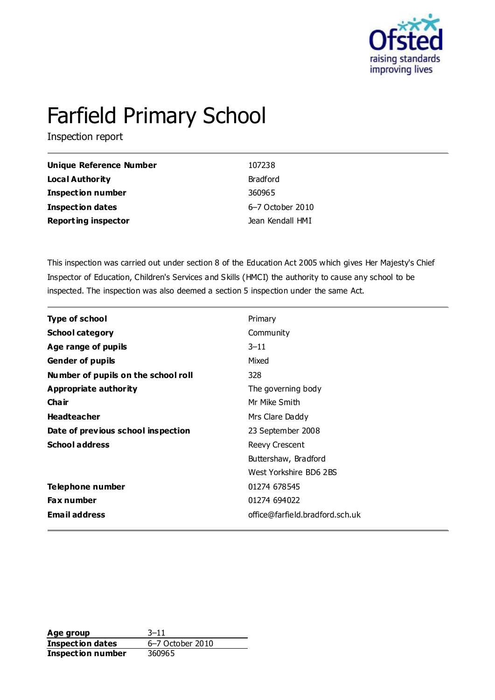

# Farfield Primary School

Inspection report

| <b>Unique Reference Number</b> | 107238           |
|--------------------------------|------------------|
| Local Authority                | <b>Bradford</b>  |
| <b>Inspection number</b>       | 360965           |
| <b>Inspection dates</b>        | 6-7 October 2010 |
| <b>Reporting inspector</b>     | Jean Kendall HMI |

This inspection was carried out under section 8 of the Education Act 2005 which gives Her Majesty's Chief Inspector of Education, Children's Services and Skills (HMCI) the authority to cause any school to be inspected. The inspection was also deemed a section 5 inspection under the same Act.

| <b>Type of school</b>               | Primary                         |
|-------------------------------------|---------------------------------|
| <b>School category</b>              | Community                       |
| Age range of pupils                 | $3 - 11$                        |
| <b>Gender of pupils</b>             | Mixed                           |
| Number of pupils on the school roll | 328                             |
| <b>Appropriate authority</b>        | The governing body              |
| Cha ir                              | Mr Mike Smith                   |
| <b>Headteacher</b>                  | Mrs Clare Daddy                 |
| Date of previous school inspection  | 23 September 2008               |
| <b>School address</b>               | Reevy Crescent                  |
|                                     | Buttershaw, Bradford            |
|                                     | West Yorkshire BD6 2BS          |
| Telephone number                    | 01274 678545                    |
| Fax number                          | 01274 694022                    |
| <b>Email address</b>                | office@farfield.bradford.sch.uk |

**Age group** 3–11 **Inspection dates** 6–7 October 2010 **Inspection number** 360965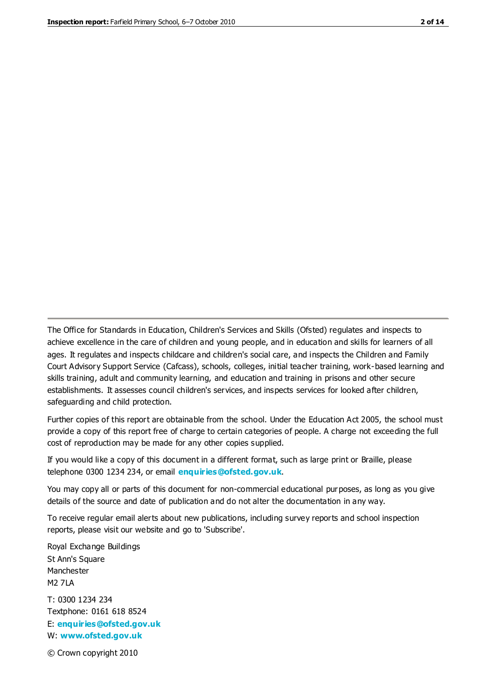The Office for Standards in Education, Children's Services and Skills (Ofsted) regulates and inspects to achieve excellence in the care of children and young people, and in education and skills for learners of all ages. It regulates and inspects childcare and children's social care, and inspects the Children and Family Court Advisory Support Service (Cafcass), schools, colleges, initial teacher training, work-based learning and skills training, adult and community learning, and education and training in prisons and other secure establishments. It assesses council children's services, and inspects services for looked after children, safeguarding and child protection.

Further copies of this report are obtainable from the school. Under the Education Act 2005, the school must provide a copy of this report free of charge to certain categories of people. A charge not exceeding the full cost of reproduction may be made for any other copies supplied.

If you would like a copy of this document in a different format, such as large print or Braille, please telephone 0300 1234 234, or email **[enquiries@ofsted.gov.uk](mailto:enquiries@ofsted.gov.uk)**.

You may copy all or parts of this document for non-commercial educational purposes, as long as you give details of the source and date of publication and do not alter the documentation in any way.

To receive regular email alerts about new publications, including survey reports and school inspection reports, please visit our website and go to 'Subscribe'.

Royal Exchange Buildings St Ann's Square Manchester M2 7LA T: 0300 1234 234 Textphone: 0161 618 8524 E: **[enquiries@ofsted.gov.uk](mailto:enquiries@ofsted.gov.uk)**

W: **[www.ofsted.gov.uk](http://www.ofsted.gov.uk/)**

© Crown copyright 2010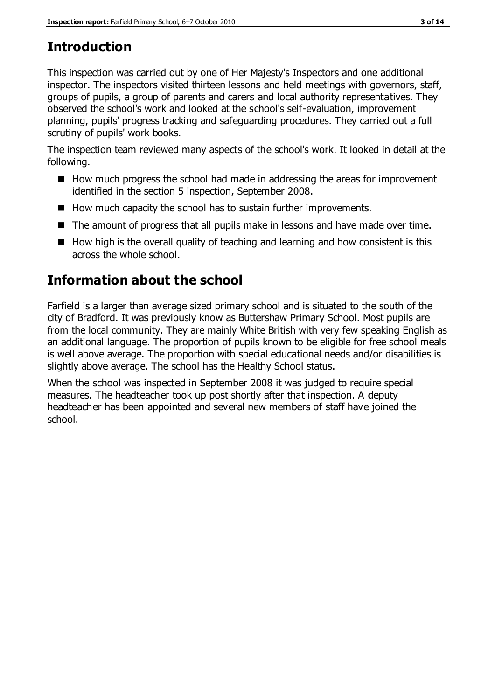# **Introduction**

This inspection was carried out by one of Her Majesty's Inspectors and one additional inspector. The inspectors visited thirteen lessons and held meetings with governors, staff, groups of pupils, a group of parents and carers and local authority representatives. They observed the school's work and looked at the school's self-evaluation, improvement planning, pupils' progress tracking and safeguarding procedures. They carried out a full scrutiny of pupils' work books.

The inspection team reviewed many aspects of the school's work. It looked in detail at the following.

- $\blacksquare$  How much progress the school had made in addressing the areas for improvement identified in the section 5 inspection, September 2008.
- How much capacity the school has to sustain further improvements.
- The amount of progress that all pupils make in lessons and have made over time.
- $\blacksquare$  How high is the overall quality of teaching and learning and how consistent is this across the whole school.

# **Information about the school**

Farfield is a larger than average sized primary school and is situated to the south of the city of Bradford. It was previously know as Buttershaw Primary School. Most pupils are from the local community. They are mainly White British with very few speaking English as an additional language. The proportion of pupils known to be eligible for free school meals is well above average. The proportion with special educational needs and/or disabilities is slightly above average. The school has the Healthy School status.

When the school was inspected in September 2008 it was judged to require special measures. The headteacher took up post shortly after that inspection. A deputy headteacher has been appointed and several new members of staff have joined the school.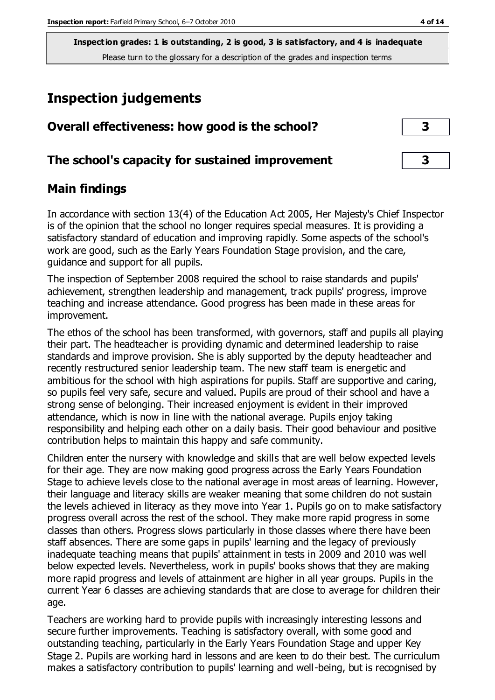# **Inspection judgements**

| Overall effectiveness: how good is the school?  |  |
|-------------------------------------------------|--|
| The school's capacity for sustained improvement |  |

# **Main findings**

In accordance with section 13(4) of the Education Act 2005, Her Majesty's Chief Inspector is of the opinion that the school no longer requires special measures. It is providing a satisfactory standard of education and improving rapidly. Some aspects of the school's work are good, such as the Early Years Foundation Stage provision, and the care, guidance and support for all pupils.

The inspection of September 2008 required the school to raise standards and pupils' achievement, strengthen leadership and management, track pupils' progress, improve teaching and increase attendance. Good progress has been made in these areas for improvement.

The ethos of the school has been transformed, with governors, staff and pupils all playing their part. The headteacher is providing dynamic and determined leadership to raise standards and improve provision. She is ably supported by the deputy headteacher and recently restructured senior leadership team. The new staff team is energetic and ambitious for the school with high aspirations for pupils. Staff are supportive and caring, so pupils feel very safe, secure and valued. Pupils are proud of their school and have a strong sense of belonging. Their increased enjoyment is evident in their improved attendance, which is now in line with the national average. Pupils enjoy taking responsibility and helping each other on a daily basis. Their good behaviour and positive contribution helps to maintain this happy and safe community.

Children enter the nursery with knowledge and skills that are well below expected levels for their age. They are now making good progress across the Early Years Foundation Stage to achieve levels close to the national average in most areas of learning. However, their language and literacy skills are weaker meaning that some children do not sustain the levels achieved in literacy as they move into Year 1. Pupils go on to make satisfactory progress overall across the rest of the school. They make more rapid progress in some classes than others. Progress slows particularly in those classes where there have been staff absences. There are some gaps in pupils' learning and the legacy of previously inadequate teaching means that pupils' attainment in tests in 2009 and 2010 was well below expected levels. Nevertheless, work in pupils' books shows that they are making more rapid progress and levels of attainment are higher in all year groups. Pupils in the current Year 6 classes are achieving standards that are close to average for children their age.

Teachers are working hard to provide pupils with increasingly interesting lessons and secure further improvements. Teaching is satisfactory overall, with some good and outstanding teaching, particularly in the Early Years Foundation Stage and upper Key Stage 2. Pupils are working hard in lessons and are keen to do their best. The curriculum makes a satisfactory contribution to pupils' learning and well-being, but is recognised by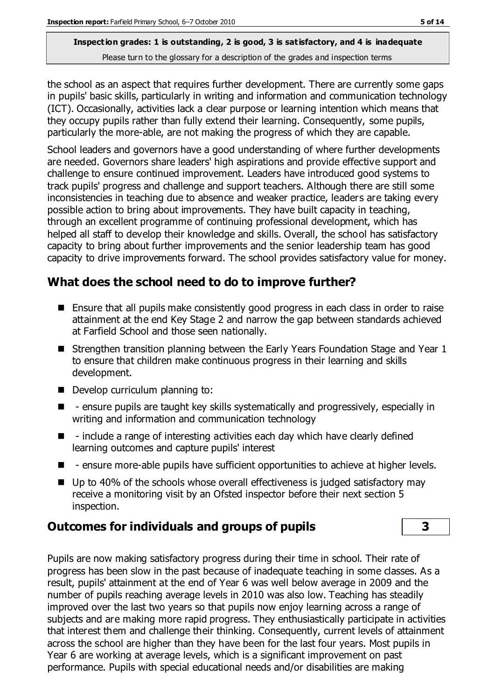the school as an aspect that requires further development. There are currently some gaps in pupils' basic skills, particularly in writing and information and communication technology (ICT). Occasionally, activities lack a clear purpose or learning intention which means that they occupy pupils rather than fully extend their learning. Consequently, some pupils, particularly the more-able, are not making the progress of which they are capable.

School leaders and governors have a good understanding of where further developments are needed. Governors share leaders' high aspirations and provide effective support and challenge to ensure continued improvement. Leaders have introduced good systems to track pupils' progress and challenge and support teachers. Although there are still some inconsistencies in teaching due to absence and weaker practice, leaders are taking every possible action to bring about improvements. They have built capacity in teaching, through an excellent programme of continuing professional development, which has helped all staff to develop their knowledge and skills. Overall, the school has satisfactory capacity to bring about further improvements and the senior leadership team has good capacity to drive improvements forward. The school provides satisfactory value for money.

# **What does the school need to do to improve further?**

- Ensure that all pupils make consistently good progress in each class in order to raise attainment at the end Key Stage 2 and narrow the gap between standards achieved at Farfield School and those seen nationally.
- Strengthen transition planning between the Early Years Foundation Stage and Year 1 to ensure that children make continuous progress in their learning and skills development.
- Develop curriculum planning to:
- $\blacksquare$  ensure pupils are taught key skills systematically and progressively, especially in writing and information and communication technology
- $\blacksquare$  include a range of interesting activities each day which have clearly defined learning outcomes and capture pupils' interest
- **E** ensure more-able pupils have sufficient opportunities to achieve at higher levels.
- Up to 40% of the schools whose overall effectiveness is judged satisfactory may receive a monitoring visit by an Ofsted inspector before their next section 5 inspection.

# **Outcomes for individuals and groups of pupils 3**

Pupils are now making satisfactory progress during their time in school. Their rate of progress has been slow in the past because of inadequate teaching in some classes. As a result, pupils' attainment at the end of Year 6 was well below average in 2009 and the number of pupils reaching average levels in 2010 was also low. Teaching has steadily improved over the last two years so that pupils now enjoy learning across a range of subjects and are making more rapid progress. They enthusiastically participate in activities that interest them and challenge their thinking. Consequently, current levels of attainment across the school are higher than they have been for the last four years. Most pupils in Year 6 are working at average levels, which is a significant improvement on past performance. Pupils with special educational needs and/or disabilities are making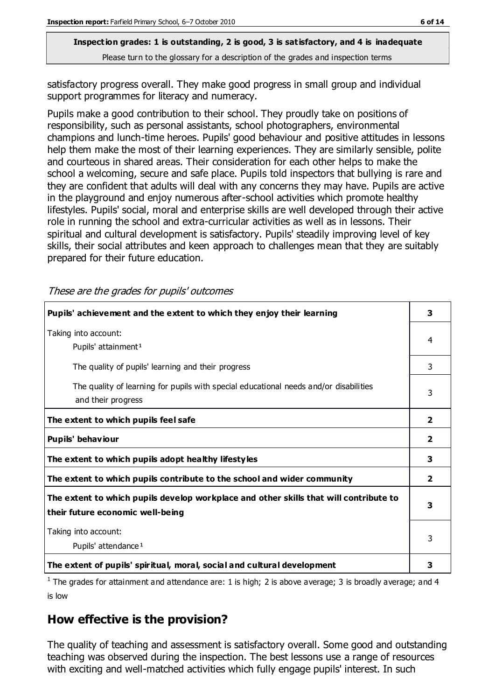satisfactory progress overall. They make good progress in small group and individual support programmes for literacy and numeracy.

Pupils make a good contribution to their school. They proudly take on positions of responsibility, such as personal assistants, school photographers, environmental champions and lunch-time heroes. Pupils' good behaviour and positive attitudes in lessons help them make the most of their learning experiences. They are similarly sensible, polite and courteous in shared areas. Their consideration for each other helps to make the school a welcoming, secure and safe place. Pupils told inspectors that bullying is rare and they are confident that adults will deal with any concerns they may have. Pupils are active in the playground and enjoy numerous after-school activities which promote healthy lifestyles. Pupils' social, moral and enterprise skills are well developed through their active role in running the school and extra-curricular activities as well as in lessons. Their spiritual and cultural development is satisfactory. Pupils' steadily improving level of key skills, their social attributes and keen approach to challenges mean that they are suitably prepared for their future education.

These are the grades for pupils' outcomes

| Pupils' achievement and the extent to which they enjoy their learning                                                     |                         |
|---------------------------------------------------------------------------------------------------------------------------|-------------------------|
| Taking into account:<br>Pupils' attainment <sup>1</sup>                                                                   | 4                       |
| The quality of pupils' learning and their progress                                                                        | 3                       |
| The quality of learning for pupils with special educational needs and/or disabilities<br>and their progress               |                         |
| The extent to which pupils feel safe                                                                                      | $\mathbf{2}$            |
| Pupils' behaviour                                                                                                         | 2                       |
| The extent to which pupils adopt healthy lifestyles                                                                       | 3                       |
| The extent to which pupils contribute to the school and wider community                                                   | $\overline{\mathbf{2}}$ |
| The extent to which pupils develop workplace and other skills that will contribute to<br>their future economic well-being |                         |
| Taking into account:<br>Pupils' attendance <sup>1</sup>                                                                   | 3                       |
| The extent of pupils' spiritual, moral, social and cultural development                                                   | 3                       |

<sup>1</sup> The grades for attainment and attendance are: 1 is high; 2 is above average; 3 is broadly average; and 4 is low

# **How effective is the provision?**

The quality of teaching and assessment is satisfactory overall. Some good and outstanding teaching was observed during the inspection. The best lessons use a range of resources with exciting and well-matched activities which fully engage pupils' interest. In such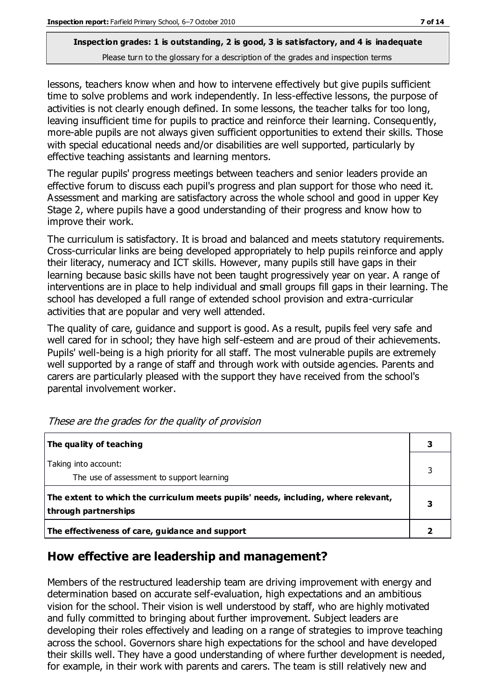lessons, teachers know when and how to intervene effectively but give pupils sufficient time to solve problems and work independently. In less-effective lessons, the purpose of activities is not clearly enough defined. In some lessons, the teacher talks for too long, leaving insufficient time for pupils to practice and reinforce their learning. Consequently, more-able pupils are not always given sufficient opportunities to extend their skills. Those with special educational needs and/or disabilities are well supported, particularly by effective teaching assistants and learning mentors.

The regular pupils' progress meetings between teachers and senior leaders provide an effective forum to discuss each pupil's progress and plan support for those who need it. Assessment and marking are satisfactory across the whole school and good in upper Key Stage 2, where pupils have a good understanding of their progress and know how to improve their work.

The curriculum is satisfactory. It is broad and balanced and meets statutory requirements. Cross-curricular links are being developed appropriately to help pupils reinforce and apply their literacy, numeracy and ICT skills. However, many pupils still have gaps in their learning because basic skills have not been taught progressively year on year. A range of interventions are in place to help individual and small groups fill gaps in their learning. The school has developed a full range of extended school provision and extra-curricular activities that are popular and very well attended.

The quality of care, guidance and support is good. As a result, pupils feel very safe and well cared for in school; they have high self-esteem and are proud of their achievements. Pupils' well-being is a high priority for all staff. The most vulnerable pupils are extremely well supported by a range of staff and through work with outside agencies. Parents and carers are particularly pleased with the support they have received from the school's parental involvement worker.

| The quality of teaching                                                                                    |  |
|------------------------------------------------------------------------------------------------------------|--|
| Taking into account:<br>The use of assessment to support learning                                          |  |
| The extent to which the curriculum meets pupils' needs, including, where relevant,<br>through partnerships |  |
| The effectiveness of care, guidance and support                                                            |  |

These are the grades for the quality of provision

# **How effective are leadership and management?**

Members of the restructured leadership team are driving improvement with energy and determination based on accurate self-evaluation, high expectations and an ambitious vision for the school. Their vision is well understood by staff, who are highly motivated and fully committed to bringing about further improvement. Subject leaders are developing their roles effectively and leading on a range of strategies to improve teaching across the school. Governors share high expectations for the school and have developed their skills well. They have a good understanding of where further development is needed, for example, in their work with parents and carers. The team is still relatively new and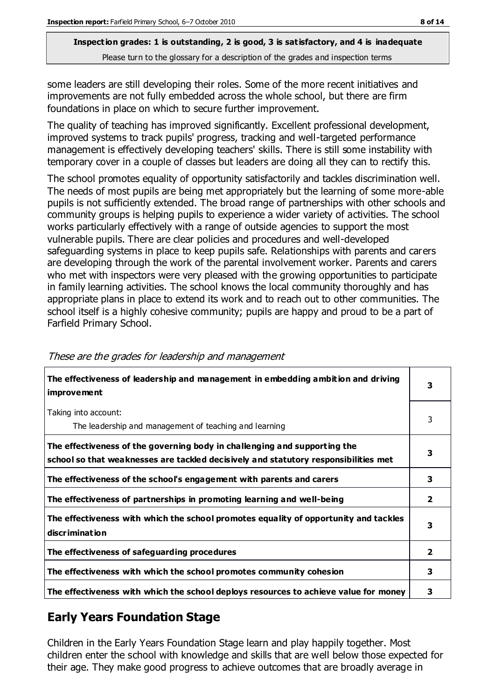some leaders are still developing their roles. Some of the more recent initiatives and improvements are not fully embedded across the whole school, but there are firm foundations in place on which to secure further improvement.

The quality of teaching has improved significantly. Excellent professional development, improved systems to track pupils' progress, tracking and well-targeted performance management is effectively developing teachers' skills. There is still some instability with temporary cover in a couple of classes but leaders are doing all they can to rectify this.

The school promotes equality of opportunity satisfactorily and tackles discrimination well. The needs of most pupils are being met appropriately but the learning of some more-able pupils is not sufficiently extended. The broad range of partnerships with other schools and community groups is helping pupils to experience a wider variety of activities. The school works particularly effectively with a range of outside agencies to support the most vulnerable pupils. There are clear policies and procedures and well-developed safeguarding systems in place to keep pupils safe. Relationships with parents and carers are developing through the work of the parental involvement worker. Parents and carers who met with inspectors were very pleased with the growing opportunities to participate in family learning activities. The school knows the local community thoroughly and has appropriate plans in place to extend its work and to reach out to other communities. The school itself is a highly cohesive community; pupils are happy and proud to be a part of Farfield Primary School.

| The effectiveness of leadership and management in embedding ambition and driving<br><b>improvement</b>                                                           |                |
|------------------------------------------------------------------------------------------------------------------------------------------------------------------|----------------|
| Taking into account:<br>The leadership and management of teaching and learning                                                                                   | 3              |
| The effectiveness of the governing body in challenging and supporting the<br>school so that weaknesses are tackled decisively and statutory responsibilities met | 3              |
| The effectiveness of the school's engagement with parents and carers                                                                                             | 3              |
| The effectiveness of partnerships in promoting learning and well-being                                                                                           | $\overline{2}$ |
| The effectiveness with which the school promotes equality of opportunity and tackles<br>discrimination                                                           | 3              |
| The effectiveness of safeguarding procedures                                                                                                                     | $\overline{2}$ |
| The effectiveness with which the school promotes community cohesion                                                                                              | 3              |
| The effectiveness with which the school deploys resources to achieve value for money                                                                             | 3              |

#### These are the grades for leadership and management

# **Early Years Foundation Stage**

Children in the Early Years Foundation Stage learn and play happily together. Most children enter the school with knowledge and skills that are well below those expected for their age. They make good progress to achieve outcomes that are broadly average in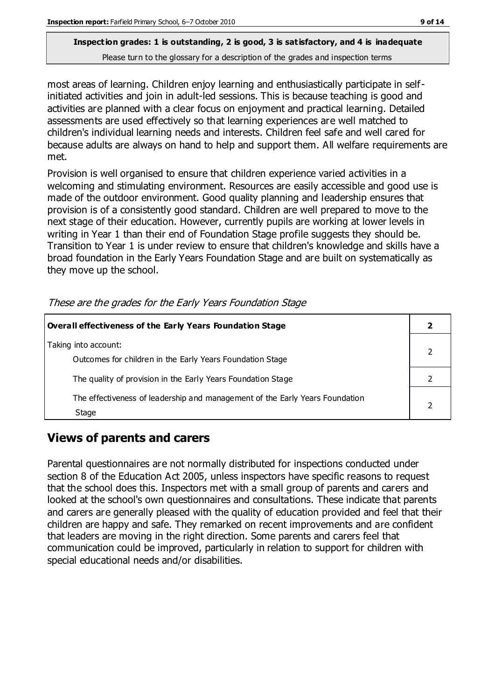most areas of learning. Children enjoy learning and enthusiastically participate in selfinitiated activities and join in adult-led sessions. This is because teaching is good and activities are planned with a clear focus on enjoyment and practical learning. Detailed assessments are used effectively so that learning experiences are well matched to children's individual learning needs and interests. Children feel safe and well cared for because adults are always on hand to help and support them. All welfare requirements are met.

Provision is well organised to ensure that children experience varied activities in a welcoming and stimulating environment. Resources are easily accessible and good use is made of the outdoor environment. Good quality planning and leadership ensures that provision is of a consistently good standard. Children are well prepared to move to the next stage of their education. However, currently pupils are working at lower levels in writing in Year 1 than their end of Foundation Stage profile suggests they should be. Transition to Year 1 is under review to ensure that children's knowledge and skills have a broad foundation in the Early Years Foundation Stage and are built on systematically as they move up the school.

| <b>Overall effectiveness of the Early Years Foundation Stage</b>                                                          |  |
|---------------------------------------------------------------------------------------------------------------------------|--|
| Taking into account:                                                                                                      |  |
| Outcomes for children in the Early Years Foundation Stage<br>The quality of provision in the Early Years Foundation Stage |  |
| The effectiveness of leadership and management of the Early Years Foundation<br>Stage                                     |  |

These are the grades for the Early Years Foundation Stage

# **Views of parents and carers**

Parental questionnaires are not normally distributed for inspections conducted under section 8 of the Education Act 2005, unless inspectors have specific reasons to request that the school does this. Inspectors met with a small group of parents and carers and looked at the school's own questionnaires and consultations. These indicate that parents and carers are generally pleased with the quality of education provided and feel that their children are happy and safe. They remarked on recent improvements and are confident that leaders are moving in the right direction. Some parents and carers feel that communication could be improved, particularly in relation to support for children with special educational needs and/or disabilities.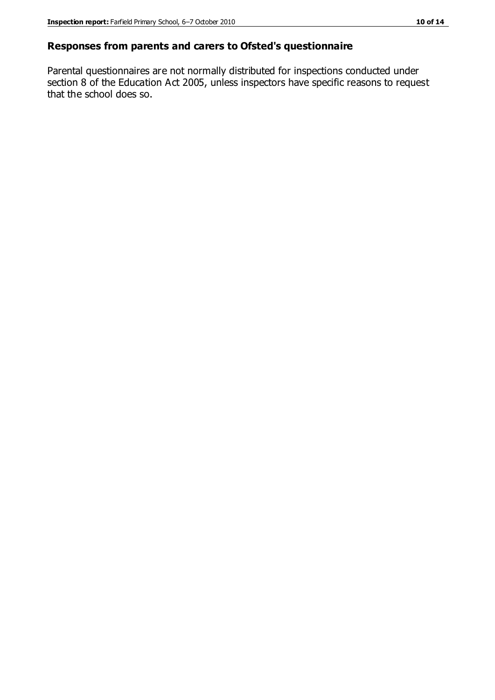### **Responses from parents and carers to Ofsted's questionnaire**

Parental questionnaires are not normally distributed for inspections conducted under section 8 of the Education Act 2005, unless inspectors have specific reasons to request that the school does so.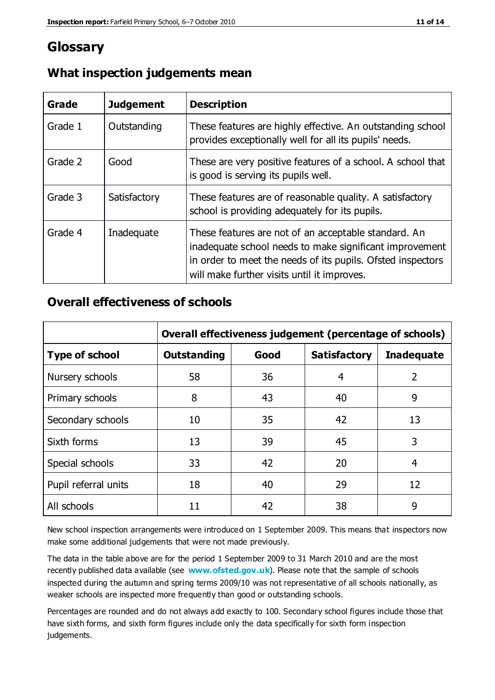# **Glossary**

| Grade   | <b>Judgement</b> | <b>Description</b>                                                                                                                                                                                                            |
|---------|------------------|-------------------------------------------------------------------------------------------------------------------------------------------------------------------------------------------------------------------------------|
| Grade 1 | Outstanding      | These features are highly effective. An outstanding school<br>provides exceptionally well for all its pupils' needs.                                                                                                          |
| Grade 2 | Good             | These are very positive features of a school. A school that<br>is good is serving its pupils well.                                                                                                                            |
| Grade 3 | Satisfactory     | These features are of reasonable quality. A satisfactory<br>school is providing adequately for its pupils.                                                                                                                    |
| Grade 4 | Inadequate       | These features are not of an acceptable standard. An<br>inadequate school needs to make significant improvement<br>in order to meet the needs of its pupils. Ofsted inspectors<br>will make further visits until it improves. |

# **What inspection judgements mean**

# **Overall effectiveness of schools**

|                       | Overall effectiveness judgement (percentage of schools) |      |                     |                   |
|-----------------------|---------------------------------------------------------|------|---------------------|-------------------|
| <b>Type of school</b> | <b>Outstanding</b>                                      | Good | <b>Satisfactory</b> | <b>Inadequate</b> |
| Nursery schools       | 58                                                      | 36   | 4                   | 2                 |
| Primary schools       | 8                                                       | 43   | 40                  | 9                 |
| Secondary schools     | 10                                                      | 35   | 42                  | 13                |
| Sixth forms           | 13                                                      | 39   | 45                  | 3                 |
| Special schools       | 33                                                      | 42   | 20                  | 4                 |
| Pupil referral units  | 18                                                      | 40   | 29                  | 12                |
| All schools           | 11                                                      | 42   | 38                  | 9                 |

New school inspection arrangements were introduced on 1 September 2009. This means that inspectors now make some additional judgements that were not made previously.

The data in the table above are for the period 1 September 2009 to 31 March 2010 and are the most recently published data available (see **[www.ofsted.gov.uk](http://www.ofsted.gov.uk/)**). Please note that the sample of schools inspected during the autumn and spring terms 2009/10 was not representative of all schools nationally, as weaker schools are inspected more frequently than good or outstanding schools.

Percentages are rounded and do not always add exactly to 100. Secondary school figures include those that have sixth forms, and sixth form figures include only the data specifically for sixth form inspection judgements.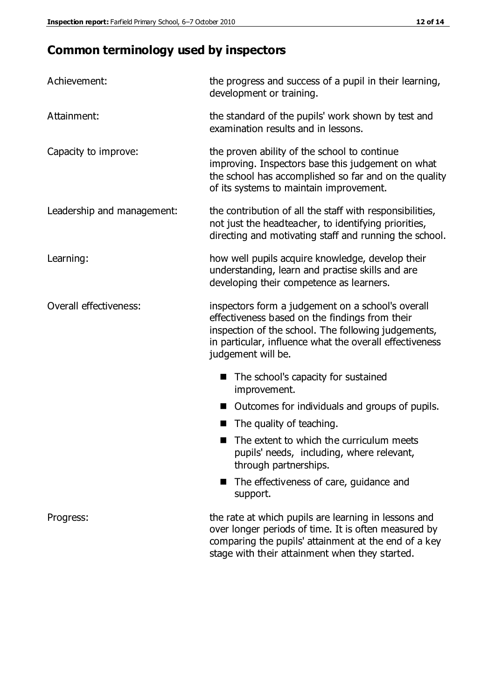# **Common terminology used by inspectors**

| Achievement:               | the progress and success of a pupil in their learning,<br>development or training.                                                                                                                                                          |  |
|----------------------------|---------------------------------------------------------------------------------------------------------------------------------------------------------------------------------------------------------------------------------------------|--|
| Attainment:                | the standard of the pupils' work shown by test and<br>examination results and in lessons.                                                                                                                                                   |  |
| Capacity to improve:       | the proven ability of the school to continue<br>improving. Inspectors base this judgement on what<br>the school has accomplished so far and on the quality<br>of its systems to maintain improvement.                                       |  |
| Leadership and management: | the contribution of all the staff with responsibilities,<br>not just the headteacher, to identifying priorities,<br>directing and motivating staff and running the school.                                                                  |  |
| Learning:                  | how well pupils acquire knowledge, develop their<br>understanding, learn and practise skills and are<br>developing their competence as learners.                                                                                            |  |
| Overall effectiveness:     | inspectors form a judgement on a school's overall<br>effectiveness based on the findings from their<br>inspection of the school. The following judgements,<br>in particular, influence what the overall effectiveness<br>judgement will be. |  |
|                            | The school's capacity for sustained<br>improvement.                                                                                                                                                                                         |  |
|                            | Outcomes for individuals and groups of pupils.                                                                                                                                                                                              |  |
|                            | The quality of teaching.                                                                                                                                                                                                                    |  |
|                            | The extent to which the curriculum meets<br>pupils' needs, including, where relevant,<br>through partnerships.                                                                                                                              |  |
|                            | The effectiveness of care, guidance and<br>support.                                                                                                                                                                                         |  |
| Progress:                  | the rate at which pupils are learning in lessons and<br>over longer periods of time. It is often measured by<br>comparing the pupils' attainment at the end of a key                                                                        |  |

stage with their attainment when they started.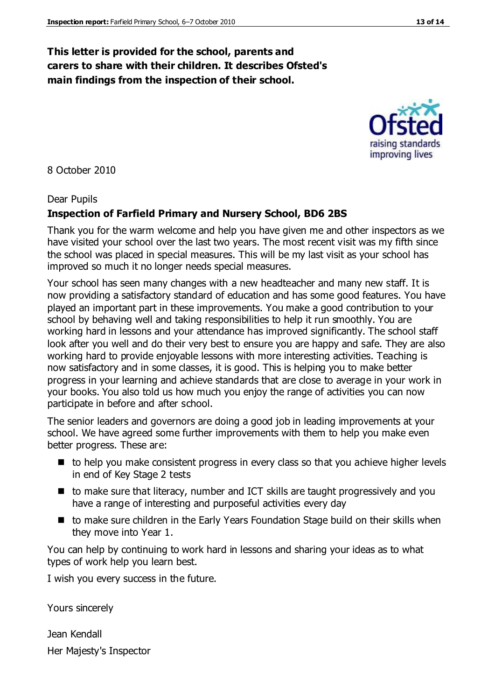# **This letter is provided for the school, parents and carers to share with their children. It describes Ofsted's main findings from the inspection of their school.**

8 October 2010

## Dear Pupils

# **Inspection of Farfield Primary and Nursery School, BD6 2BS**

Thank you for the warm welcome and help you have given me and other inspectors as we have visited your school over the last two years. The most recent visit was my fifth since the school was placed in special measures. This will be my last visit as your school has improved so much it no longer needs special measures.

Your school has seen many changes with a new headteacher and many new staff. It is now providing a satisfactory standard of education and has some good features. You have played an important part in these improvements. You make a good contribution to your school by behaving well and taking responsibilities to help it run smoothly. You are working hard in lessons and your attendance has improved significantly. The school staff look after you well and do their very best to ensure you are happy and safe. They are also working hard to provide enjoyable lessons with more interesting activities. Teaching is now satisfactory and in some classes, it is good. This is helping you to make better progress in your learning and achieve standards that are close to average in your work in your books. You also told us how much you enjoy the range of activities you can now participate in before and after school.

The senior leaders and governors are doing a good job in leading improvements at your school. We have agreed some further improvements with them to help you make even better progress. These are:

- to help you make consistent progress in every class so that you achieve higher levels in end of Key Stage 2 tests
- to make sure that literacy, number and ICT skills are taught progressively and you have a range of interesting and purposeful activities every day
- to make sure children in the Early Years Foundation Stage build on their skills when they move into Year 1.

You can help by continuing to work hard in lessons and sharing your ideas as to what types of work help you learn best.

I wish you every success in the future.

Yours sincerely

Jean Kendall Her Majesty's Inspector